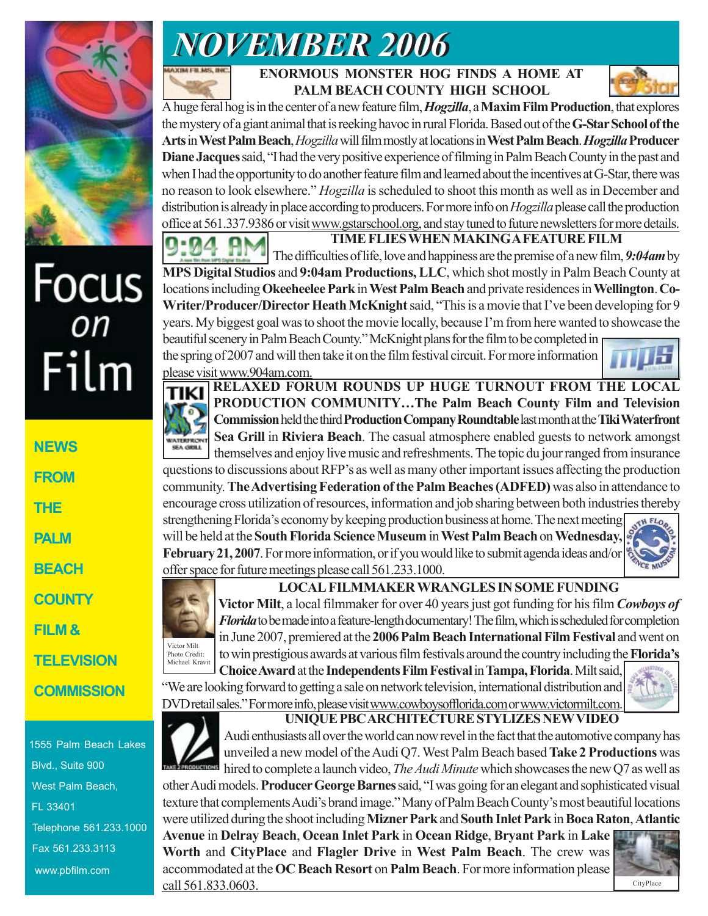



 **ENORMOUS MONSTER HOG FINDS A HOME AT PALM BEACH COUNTY HIGH SCHOOL**



A huge feral hog is in the center of a new feature film, *Hogzilla*, a **Maxim Film Production**, that explores the mystery of a giant animal that is reeking havoc in rural Florida. Based out of the **G-Star School of the Arts** in **West Palm Beach**, *Hogzilla* will film mostly at locations in **West Palm Beach**. *Hogzilla* **Producer Diane Jacques** said, "I had the very positive experience of filming in Palm Beach County in the past and when I had the opportunity to do another feature film and learned about the incentives at G-Star, there was no reason to look elsewhere." *Hogzilla* is scheduled to shoot this month as well as in December and distribution is already in place according to producers. For more info on *Hogzilla* please call the production office at 561.337.9386 or visit www.gstarschool.org, and stay tuned to future newsletters for more details.

**TIME FLIES WHEN MAKING A FEATURE FILM** The difficulties of life, love and happiness are the premise of a new film, *9:04am* by **MPS Digital Studios** and **9:04am Productions, LLC**, which shot mostly in Palm Beach County at locations including **Okeeheelee Park** in **West Palm Beach** and private residences in **Wellington**. **Co-Writer/Producer/Director Heath McKnight** said, "This is a movie that I've been developing for 9 years. My biggest goal was to shoot the movie locally, because I'm from here wanted to showcase the beautiful scenery in Palm Beach County." McKnight plans for the film to be completed in

the spring of 2007 and will then take it on the film festival circuit. For more information please visit www.904am.com.



TIKI WATERFRON<br>SEA GRILL

**RELAXED FORUM ROUNDS UP HUGE TURNOUT FROM THE LOCAL PRODUCTION COMMUNITY…The Palm Beach County Film and Television Commission** held the third **Production Company Roundtable** last month at the **Tiki Waterfront Sea Grill** in **Riviera Beach**. The casual atmosphere enabled guests to network amongst themselves and enjoy live music and refreshments. The topic du jour ranged from insurance questions to discussions about RFP's as well as many other important issues affecting the production

community. **The Advertising Federation of the Palm Beaches (ADFED)** was also in attendance to encourage cross utilization of resources, information and job sharing between both industries thereby strengthening Florida's economy by keeping production business at home. The next meeting will be held at the **South Florida Science Museum** in **West Palm Beach** on **Wednesday, February 21, 2007**. For more information, or if you would like to submit agenda ideas and/or  $\left|\frac{\phi_{\text{VCE, M3}}}{\phi_{\text{C}}}\right|$ offer space for future meetings please call 561.233.1000.





**LOCAL FILMMAKER WRANGLES IN SOME FUNDING**

**Victor Milt**, a local filmmaker for over 40 years just got funding for his film *Cowboys of Florida* to be made into a feature-length documentary! The film, which is scheduled for completion in June 2007, premiered at the **2006 Palm Beach International Film Festival** and went on to win prestigious awards at various film festivals around the country including the **Florida's**

**Choice Award** at the **Independents Film Festival** in **Tampa, Florida**. Milt said, "We are looking forward to getting a sale on network television, international distribution and DVD retail sales." For more info, please visit www.cowboysofflorida.com or www.victormilt.com. Michael Kravit



Audi enthusiasts all over the world can now revel in the fact that the automotive company has unveiled a new model of the Audi Q7. West Palm Beach based **Take 2 Productions** was hired to complete a launch video, *The Audi Minute* which showcases the new Q7 as well as other Audi models. **Producer George Barnes** said, "I was going for an elegant and sophisticated visual

texture that complements Audi's brand image." Many of Palm Beach County's most beautiful locations were utilized during the shoot including **Mizner Park** and **South Inlet Park** in **Boca Raton**, **Atlantic**

**Avenue** in **Delray Beach**, **Ocean Inlet Park** in **Ocean Ridge**, **Bryant Park** in **Lake Worth** and **CityPlace** and **Flagler Drive** in **West Palm Beach**. The crew was accommodated at the **OC Beach Resort** on **Palm Beach**. For more information please call  $561.833.0603$ .





Focus<br><sub>on</sub> Film

| <b>NEWS</b>   |
|---------------|
| <b>FROM</b>   |
| THE           |
| <b>PALM</b>   |
| <b>BEACH</b>  |
| <b>COUNTY</b> |
| FILM &        |
| TELEVISION    |

**COMMISSION**